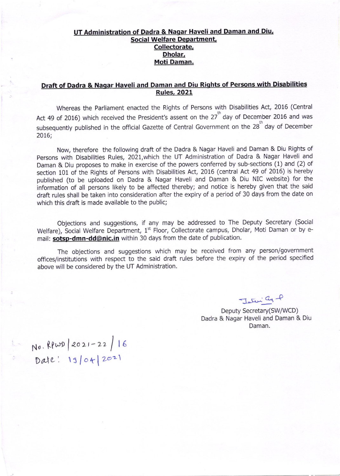## UT Administration of Dadra & Nagar Haveli and Daman and Diu, Social Welfare Department, Collectorate, Dholar, Moti Daman.

# Draft of Dadra & Nagar Haveli and Daman and Diu Riqhts of Persons with Disabilities Rules, 2021

Whereas the Parliament enacted the Rights of Persons with Disabilities Act, 2016 (Central Act 49 of 2016) which received the President's assent on the 27<sup>th</sup> day of December 2016 and was subsequently published in the official Gazette of Central Government on the 28<sup>th</sup> day of December 2016;

Now, therefore the following draft of the Dadra & Nagar Haveli and Daman & Diu Rights of persons with Disabilities Rules, 2021,which the UT Administration of Dadra & Nagar Haveli and Daman & Diu proposes to make in exercise of the powers conferred by sub-sections (1) and (2) of section 101 of the Rights of Persons with Disabilities Act, 2016 (central Act 49 of 2016) is hereby published (to be uploaded on Dadra & Nagar Haveli and Daman & Diu NIC website) for the information of all persons likely to be affected thereby; and notice is hereby given that the said draft rules shall be taken into consideration after the expiry of a period of 30 days from the date on which this draft is made available to the public;

Objections and suggestions, if any may be addressed to The Deputy Secretary (Social Welfare), Social Welfare Department, 1<sup>st</sup> Floor, Collectorate campus, Dholar, Moti Daman or by email: sotsp-dmn-dd@nic.in within 30 days from the date of publication.

The objections and suggestions which may be received from any person/government offlces/institutions with respect to the said draft rules before the expiry of the period specified above will be considered by the UT Administration.

 $J_{\text{ab}}$   $\frac{c_{4}}{c_{4}}$ 

Deputy Secretary(SW/WCD) Dadra & Nagar Haveli and Daman & Diu Daman.

 $No.$  RPWD  $2021 - 22 / 16$ Date: 19/04/2021